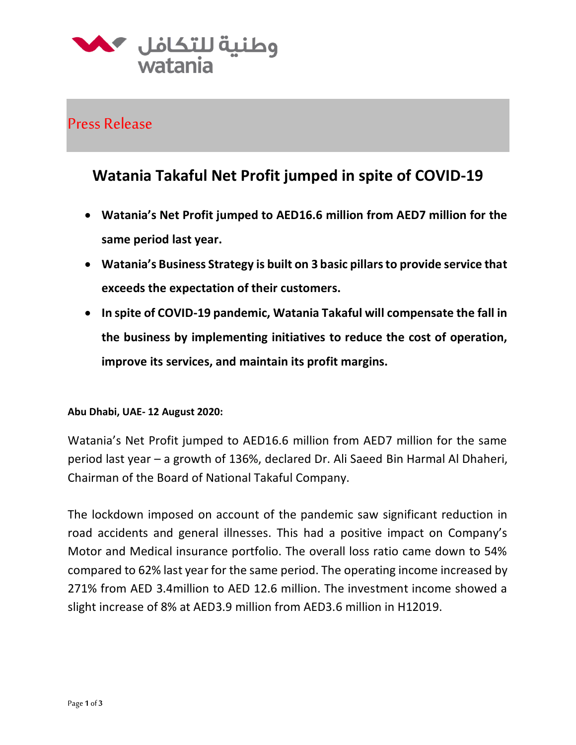

## Press Release

# **Watania Takaful Net Profit jumped in spite of COVID-19**

- **Watania's Net Profit jumped to AED16.6 million from AED7 million for the same period last year.**
- **Watania's Business Strategy is built on 3 basic pillars to provide service that exceeds the expectation of their customers.**
- **In spite of COVID-19 pandemic, Watania Takaful will compensate the fall in the business by implementing initiatives to reduce the cost of operation, improve its services, and maintain its profit margins.**

#### **Abu Dhabi, UAE- 12 August 2020:**

Watania's Net Profit jumped to AED16.6 million from AED7 million for the same period last year – a growth of 136%, declared Dr. Ali Saeed Bin Harmal Al Dhaheri, Chairman of the Board of National Takaful Company.

The lockdown imposed on account of the pandemic saw significant reduction in road accidents and general illnesses. This had a positive impact on Company's Motor and Medical insurance portfolio. The overall loss ratio came down to 54% compared to 62% last year for the same period. The operating income increased by 271% from AED 3.4million to AED 12.6 million. The investment income showed a slight increase of 8% at AED3.9 million from AED3.6 million in H12019.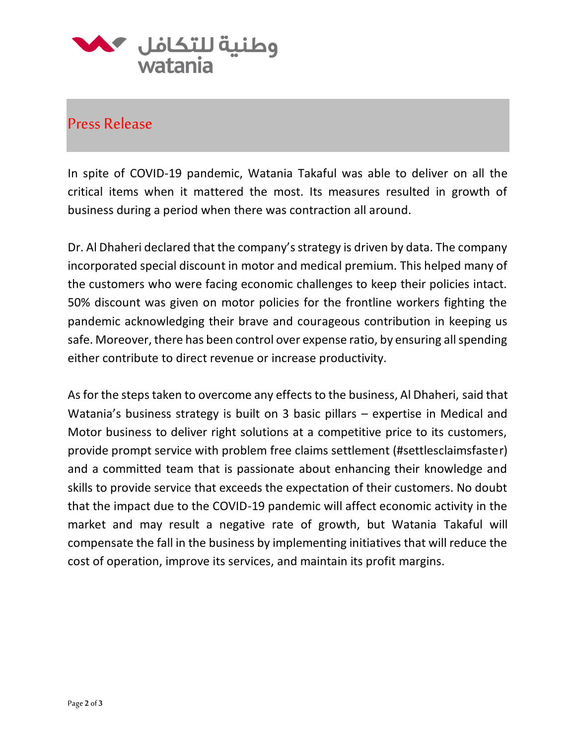

### Press Release

In spite of COVID-19 pandemic, Watania Takaful was able to deliver on all the critical items when it mattered the most. Its measures resulted in growth of business during a period when there was contraction all around.

Dr. Al Dhaheri declared that the company's strategy is driven by data. The company incorporated special discount in motor and medical premium. This helped many of the customers who were facing economic challenges to keep their policies intact. 50% discount was given on motor policies for the frontline workers fighting the pandemic acknowledging their brave and courageous contribution in keeping us safe. Moreover, there has been control over expense ratio, by ensuring all spending either contribute to direct revenue or increase productivity.

As for the steps taken to overcome any effects to the business, Al Dhaheri, said that Watania's business strategy is built on 3 basic pillars – expertise in Medical and Motor business to deliver right solutions at a competitive price to its customers, provide prompt service with problem free claims settlement (#settlesclaimsfaster) and a committed team that is passionate about enhancing their knowledge and skills to provide service that exceeds the expectation of their customers. No doubt that the impact due to the COVID-19 pandemic will affect economic activity in the market and may result a negative rate of growth, but Watania Takaful will compensate the fall in the business by implementing initiatives that will reduce the cost of operation, improve its services, and maintain its profit margins.